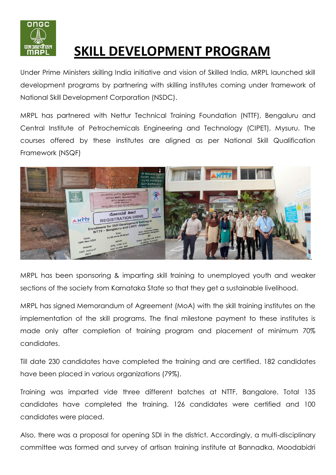

## **SKILL DEVELOPMENT PROGRAM**

Under Prime Ministers skilling India initiative and vision of Skilled India, MRPL launched skill development programs by partnering with skilling institutes coming under framework of National Skill Development Corporation (NSDC).

MRPL has partnered with Nettur Technical Training Foundation (NTTF), Bengaluru and Central Institute of Petrochemicals Engineering and Technology (CIPET), Mysuru. The courses offered by these institutes are aligned as per National Skill Qualification Framework (NSQF)



MRPL has been sponsoring & imparting skill training to unemployed youth and weaker sections of the society from Karnataka State so that they get a sustainable livelihood.

MRPL has signed Memorandum of Agreement (MoA) with the skill training institutes on the implementation of the skill programs. The final milestone payment to these institutes is made only after completion of training program and placement of minimum 70% candidates.

Till date 230 candidates have completed the training and are certified. 182 candidates have been placed in various organizations (79%).

Training was imparted vide three different batches at NTTF, Bangalore. Total 135 candidates have completed the training. 126 candidates were certified and 100 candidates were placed.

Also, there was a proposal for opening SDI in the district. Accordingly, a multi-disciplinary committee was formed and survey of artisan training institute at Bannadka, Moodabidri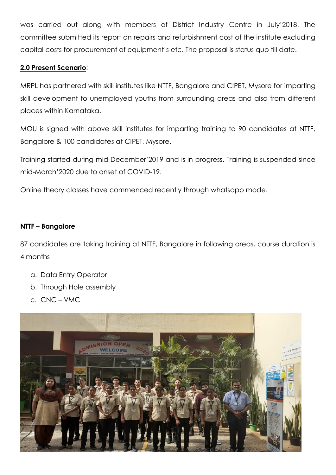was carried out along with members of District Industry Centre in July'2018. The committee submitted its report on repairs and refurbishment cost of the institute excluding capital costs for procurement of equipment's etc. The proposal is status quo till date.

## **2.0 Present Scenario**:

MRPL has partnered with skill institutes like NTTF, Bangalore and CIPET, Mysore for imparting skill development to unemployed youths from surrounding areas and also from different places within Karnataka.

MOU is signed with above skill institutes for imparting training to 90 candidates at NTTF, Bangalore & 100 candidates at CIPET, Mysore.

Training started during mid-December'2019 and is in progress. Training is suspended since mid-March'2020 due to onset of COVID-19.

Online theory classes have commenced recently through whatsapp mode.

## **NTTF – Bangalore**

87 candidates are taking training at NTTF, Bangalore in following areas, course duration is 4 months

- a. Data Entry Operator
- b. Through Hole assembly
- c. CNC VMC